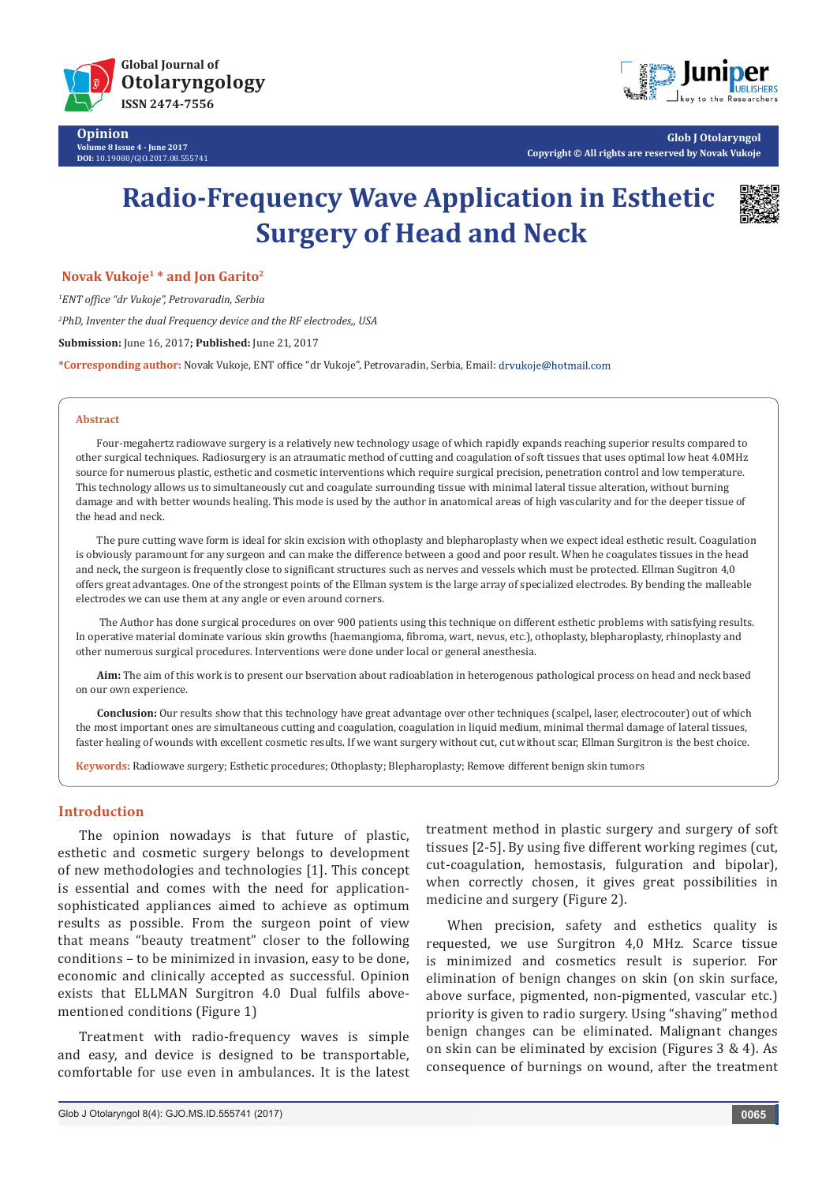

**Opinion Volume 8 Issue 4 - June 2017 DOI:** [10.19080/GJO.2017.08.555741](http://dx.doi.org/10.19080/GJO.2017.08.555741)



**Glob J Otolaryngol Copyright © All rights are reserved by Novak Vukoje**

# **Radio-Frequency Wave Application in Esthetic Surgery of Head and Neck**



 **Novak Vukoje1 \* and Jon Garito2**

*1 ENT office "dr Vukoje", Petrovaradin, Serbia*

*2 PhD, Inventer the dual Frequency device and the RF electrodes,, USA*

**Submission:** June 16, 2017**; Published:** June 21, 2017

**\*Corresponding author:** Novak Vukoje, ENT office "dr Vukoje", Petrovaradin, Serbia, Email:

#### **Abstract**

Four-megahertz radiowave surgery is a relatively new technology usage of which rapidly expands reaching superior results compared to other surgical techniques. Radiosurgery is an atraumatic method of cutting and coagulation of soft tissues that uses optimal low heat 4.0MHz source for numerous plastic, esthetic and cosmetic interventions which require surgical precision, penetration control and low temperature. This technology allows us to simultaneously cut and coagulate surrounding tissue with minimal lateral tissue alteration, without burning damage and with better wounds healing. This mode is used by the author in anatomical areas of high vascularity and for the deeper tissue of the head and neck.

The pure cutting wave form is ideal for skin excision with othoplasty and blepharoplasty when we expect ideal esthetic result. Coagulation is obviously paramount for any surgeon and can make the difference between a good and poor result. When he coagulates tissues in the head and neck, the surgeon is frequently close to significant structures such as nerves and vessels which must be protected. Ellman Sugitron 4,0 offers great advantages. One of the strongest points of the Ellman system is the large array of specialized electrodes. By bending the malleable electrodes we can use them at any angle or even around corners.

 The Author has done surgical procedures on over 900 patients using this technique on different esthetic problems with satisfying results. In operative material dominate various skin growths (haemangioma, fibroma, wart, nevus, etc.), othoplasty, blepharoplasty, rhinoplasty and other numerous surgical procedures. Interventions were done under local or general anesthesia.

**Aim:** The aim of this work is to present our bservation about radioablation in heterogenous pathological process on head and neck based on our own experience.

**Conclusion:** Our results show that this technology have great advantage over other techniques (scalpel, laser, electrocouter) out of which the most important ones are simultaneous cutting and coagulation, coagulation in liquid medium, minimal thermal damage of lateral tissues, faster healing of wounds with excellent cosmetic results. If we want surgery without cut, cut without scar, Ellman Surgitron is the best choice.

**Keywords:** Radiowave surgery; Esthetic procedures; Othoplasty; Blepharoplasty; Remove different benign skin tumors

## **Introduction**

The opinion nowadays is that future of plastic, esthetic and cosmetic surgery belongs to development of new methodologies and technologies [1]. This concept is essential and comes with the need for applicationsophisticated appliances aimed to achieve as optimum results as possible. From the surgeon point of view that means "beauty treatment" closer to the following conditions – to be minimized in invasion, easy to be done, economic and clinically accepted as successful. Opinion exists that ELLMAN Surgitron 4.0 Dual fulfils abovementioned conditions (Figure 1)

Treatment with radio-frequency waves is simple and easy, and device is designed to be transportable, comfortable for use even in ambulances. It is the latest treatment method in plastic surgery and surgery of soft tissues [2-5]. By using five different working regimes (cut, cut-coagulation, hemostasis, fulguration and bipolar), when correctly chosen, it gives great possibilities in medicine and surgery (Figure 2).

When precision, safety and esthetics quality is requested, we use Surgitron 4,0 MHz. Scarce tissue is minimized and cosmetics result is superior. For elimination of benign changes on skin (on skin surface, above surface, pigmented, non-pigmented, vascular etc.) priority is given to radio surgery. Using "shaving" method benign changes can be eliminated. Malignant changes on skin can be eliminated by excision (Figures 3 & 4). As consequence of burnings on wound, after the treatment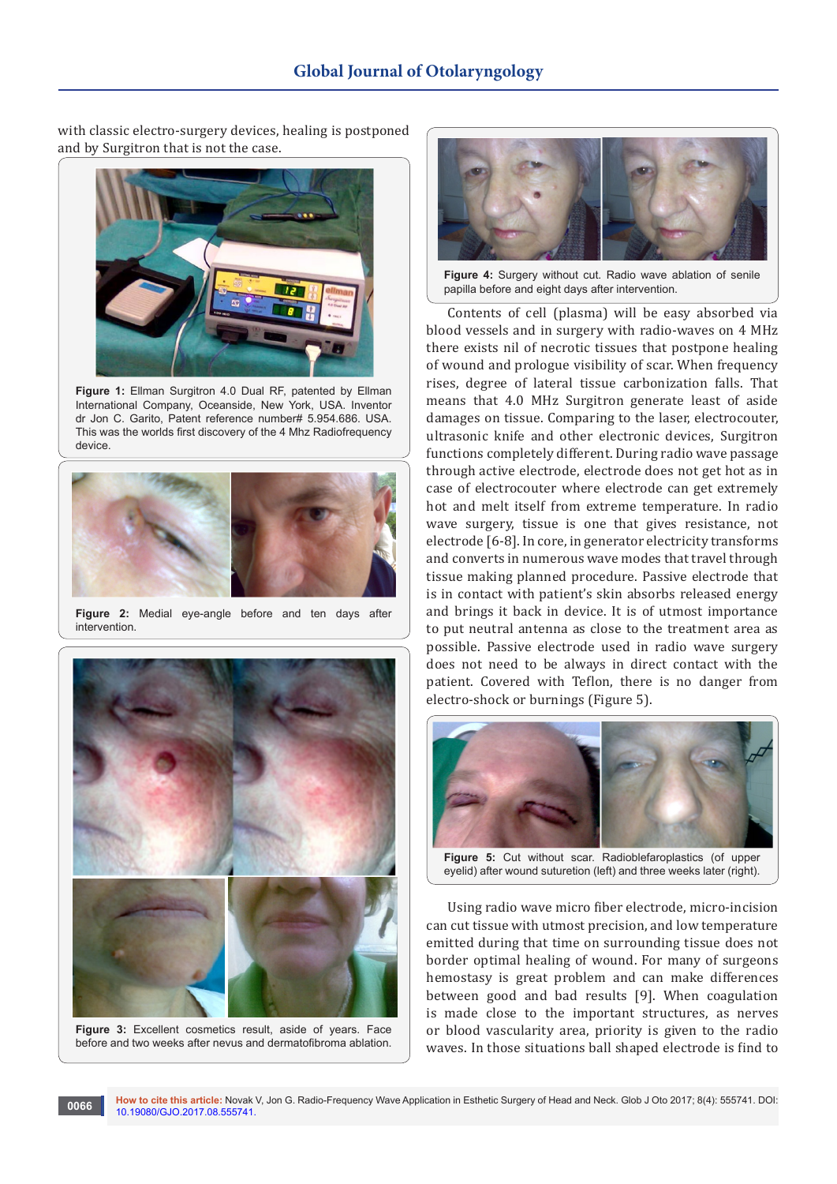with classic electro-surgery devices, healing is postponed and by Surgitron that is not the case.



**Figure 1:** Ellman Surgitron 4.0 Dual RF, patented by Ellman International Company, Oceanside, New York, USA. Inventor dr Jon C. Garito, Patent reference number# 5.954.686. USA. This was the worlds first discovery of the 4 Mhz Radiofrequency device.



**Figure 2:** Medial eye-angle before and ten days after intervention.



**Figure 3:** Excellent cosmetics result, aside of years. Face before and two weeks after nevus and dermatofibroma ablation.



**Figure 4:** Surgery without cut. Radio wave ablation of senile papilla before and eight days after intervention.

Contents of cell (plasma) will be easy absorbed via blood vessels and in surgery with radio-waves on 4 MHz there exists nil of necrotic tissues that postpone healing of wound and prologue visibility of scar. When frequency rises, degree of lateral tissue carbonization falls. That means that 4.0 MHz Surgitron generate least of aside damages on tissue. Comparing to the laser, electrocouter, ultrasonic knife and other electronic devices, Surgitron functions completely different. During radio wave passage through active electrode, electrode does not get hot as in case of electrocouter where electrode can get extremely hot and melt itself from extreme temperature. In radio wave surgery, tissue is one that gives resistance, not electrode [6-8]. In core, in generator electricity transforms and converts in numerous wave modes that travel through tissue making planned procedure. Passive electrode that is in contact with patient's skin absorbs released energy and brings it back in device. It is of utmost importance to put neutral antenna as close to the treatment area as possible. Passive electrode used in radio wave surgery does not need to be always in direct contact with the patient. Covered with Teflon, there is no danger from electro-shock or burnings (Figure 5).



**Figure 5:** Cut without scar. Radioblefaroplastics (of upper eyelid) after wound suturetion (left) and three weeks later (right).

Using radio wave micro fiber electrode, micro-incision can cut tissue with utmost precision, and low temperature emitted during that time on surrounding tissue does not border optimal healing of wound. For many of surgeons hemostasy is great problem and can make differences between good and bad results [9]. When coagulation is made close to the important structures, as nerves or blood vascularity area, priority is given to the radio waves. In those situations ball shaped electrode is find to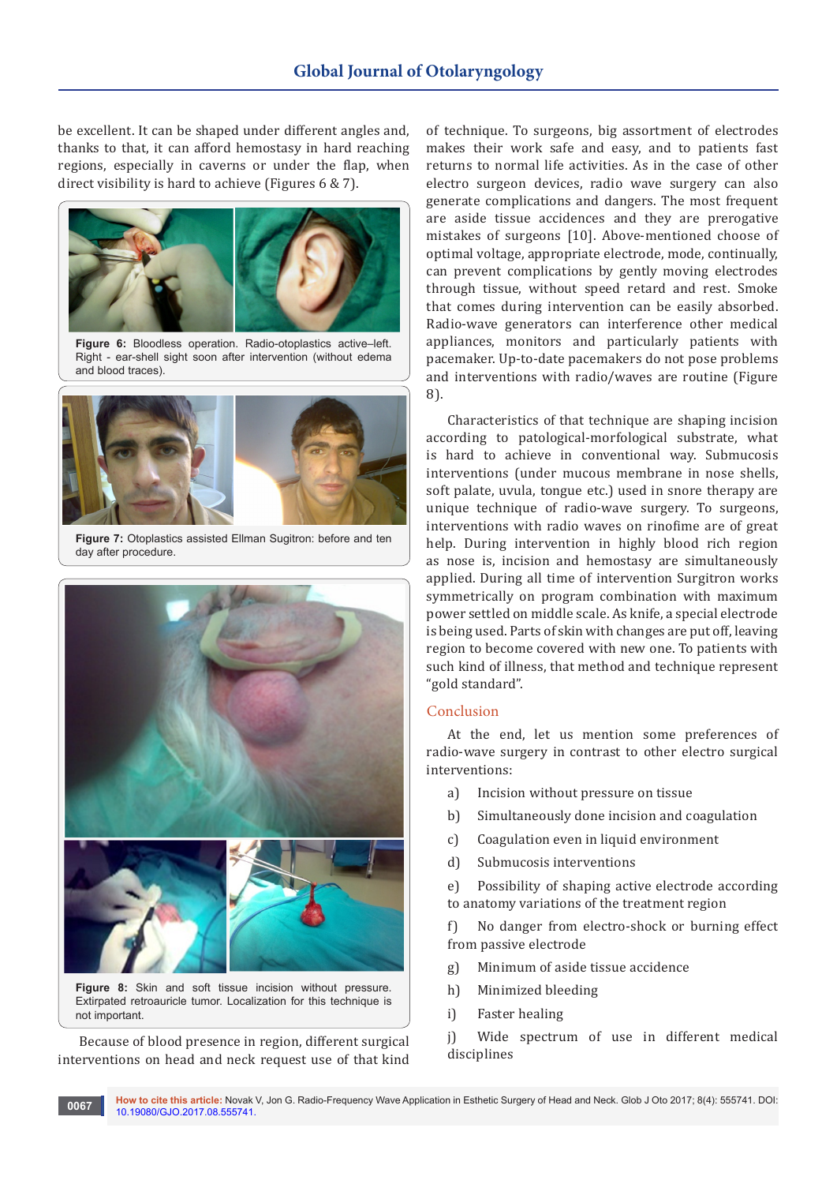be excellent. It can be shaped under different angles and, thanks to that, it can afford hemostasy in hard reaching regions, especially in caverns or under the flap, when direct visibility is hard to achieve (Figures 6 & 7).



**Figure 6:** Bloodless operation. Radio-otoplastics active–left. Right - ear-shell sight soon after intervention (without edema and blood traces).



**Figure 7:** Otoplastics assisted Ellman Sugitron: before and ten day after procedure.



Extirpated retroauricle tumor. Localization for this technique is not important.

Because of blood presence in region, different surgical interventions on head and neck request use of that kind of technique. To surgeons, big assortment of electrodes makes their work safe and easy, and to patients fast returns to normal life activities. As in the case of other electro surgeon devices, radio wave surgery can also generate complications and dangers. The most frequent are aside tissue accidences and they are prerogative mistakes of surgeons [10]. Above-mentioned choose of optimal voltage, appropriate electrode, mode, continually, can prevent complications by gently moving electrodes through tissue, without speed retard and rest. Smoke that comes during intervention can be easily absorbed. Radio-wave generators can interference other medical appliances, monitors and particularly patients with pacemaker. Up-to-date pacemakers do not pose problems and interventions with radio/waves are routine (Figure 8).

Characteristics of that technique are shaping incision according to patological-morfological substrate, what is hard to achieve in conventional way. Submucosis interventions (under mucous membrane in nose shells, soft palate, uvula, tongue etc.) used in snore therapy are unique technique of radio-wave surgery. To surgeons, interventions with radio waves on rinofime are of great help. During intervention in highly blood rich region as nose is, incision and hemostasy are simultaneously applied. During all time of intervention Surgitron works symmetrically on program combination with maximum power settled on middle scale. As knife, a special electrode is being used. Parts of skin with changes are put off, leaving region to become covered with new one. To patients with such kind of illness, that method and technique represent "gold standard".

## Conclusion

At the end, let us mention some preferences of radio-wave surgery in contrast to other electro surgical interventions:

- a) Incision without pressure on tissue
- b) Simultaneously done incision and coagulation
- c) Coagulation even in liquid environment
- d) Submucosis interventions

e) Possibility of shaping active electrode according to anatomy variations of the treatment region

f) No danger from electro-shock or burning effect from passive electrode

- g) Minimum of aside tissue accidence
- h) Minimized bleeding
- i) Faster healing

j) Wide spectrum of use in different medical disciplines